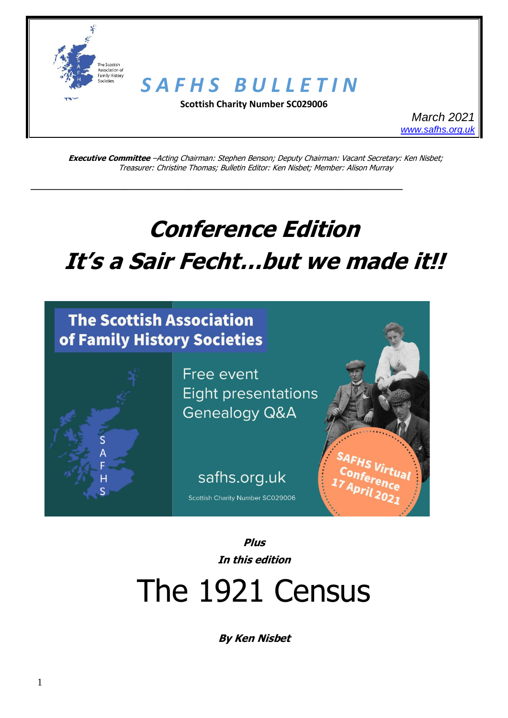

**Executive Committee** –Acting Chairman: Stephen Benson; Deputy Chairman: Vacant Secretary: Ken Nisbet; Treasurer: Christine Thomas; Bulletin Editor: Ken Nisbet; Member: Alison Murray

**\_\_\_\_\_\_\_\_\_\_\_\_\_\_\_\_\_\_\_\_\_\_\_\_\_\_\_\_\_\_\_\_\_\_\_\_\_\_\_\_\_\_\_\_\_\_\_\_\_\_\_\_\_\_\_\_\_\_\_\_\_\_\_\_\_\_\_\_\_\_\_\_\_\_\_\_**

# **Conference Edition It's a Sair Fecht…but we made it!!**

### **The Scottish Association** of Family History Societies



Free event **Eight presentations Genealogy Q&A** 

### safhs.org.uk

Scottish Charity Number SC029006



**Plus In this edition**

# The 1921 Census

**By Ken Nisbet**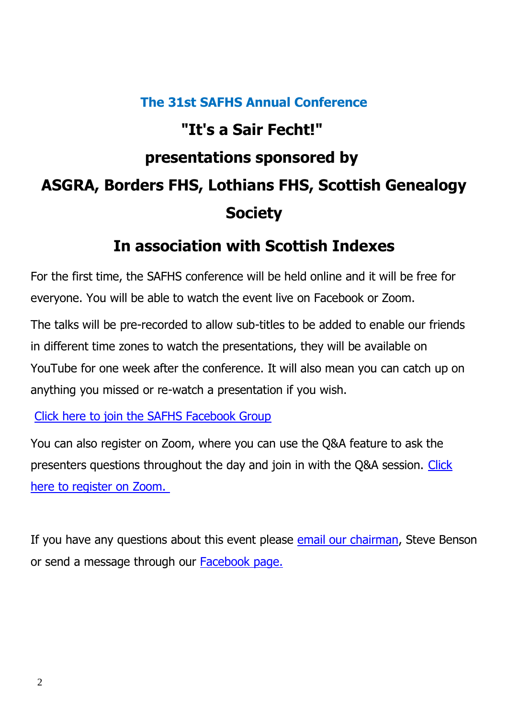## **The 31st SAFHS Annual Conference "It's a Sair Fecht!" presentations sponsored by ASGRA, Borders FHS, Lothians FHS, Scottish Genealogy Society**

### **In association with Scottish Indexes**

For the first time, the SAFHS conference will be held online and it will be free for everyone. You will be able to watch the event live on Facebook or Zoom.

The talks will be pre-recorded to allow sub-titles to be added to enable our friends in different time zones to watch the presentations, they will be available on YouTube for one week after the conference. It will also mean you can catch up on anything you missed or re-watch a presentation if you wish.

[Click here to join the SAFHS Facebook Group](https://www.facebook.com/groups/safhs)

You can also register on Zoom, where you can use the Q&A feature to ask the presenters questions throughout the day and join in with the Q&A session. [Click](https://us02web.zoom.us/webinar/register/6416087289896/WN_uuT6sl8BRTSA83l0fRj01w)  [here to register on Zoom.](https://us02web.zoom.us/webinar/register/6416087289896/WN_uuT6sl8BRTSA83l0fRj01w)

If you have any questions about this event please [email our chairman,](mailto:conference@safhs.org.uk) Steve Benson or send a message through our [Facebook page.](https://www.facebook.com/ScottishFamilyHistory)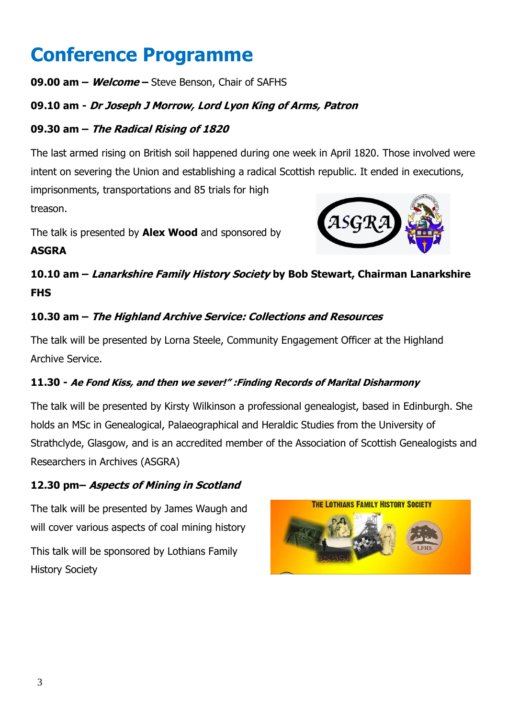## **Conference Programme**

**09.00 am – Welcome –** Steve Benson, Chair of SAFHS

#### **09.10 am - Dr Joseph J Morrow, Lord Lyon King of Arms, Patron**

#### **09.30 am – The Radical Rising of 1820**

The last armed rising on British soil happened during one week in April 1820. Those involved were intent on severing the Union and establishing a radical Scottish republic. It ended in executions, imprisonments, transportations and 85 trials for high

treason.

The talk is presented by **Alex Wood** and sponsored by





#### **10.10 am – Lanarkshire Family History Society by Bob Stewart, Chairman Lanarkshire FHS**

#### **10.30 am – The Highland Archive Service: Collections and Resources**

The talk will be presented by Lorna Steele, Community Engagement Officer at the Highland Archive Service.

#### **11.30 - Ae Fond Kiss, and then we sever!" :Finding Records of Marital Disharmony**

The talk will be presented by Kirsty Wilkinson a professional genealogist, based in Edinburgh. She holds an MSc in Genealogical, Palaeographical and Heraldic Studies from the University of Strathclyde, Glasgow, and is an accredited member of the Association of Scottish Genealogists and Researchers in Archives (ASGRA)

#### **12.30 pm– Aspects of Mining in Scotland**

The talk will be presented by James Waugh and will cover various aspects of coal mining history This talk will be sponsored by Lothians Family History Society

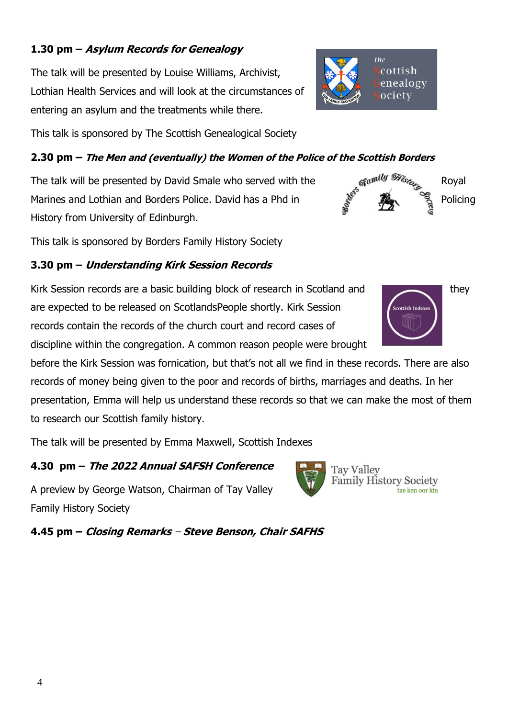#### **1.30 pm – Asylum Records for Genealogy**

The talk will be presented by Louise Williams, Archivist, Lothian Health Services and will look at the circumstances of entering an asylum and the treatments while there.

This talk is sponsored by The Scottish Genealogical Society

#### **2.30 pm – The Men and (eventually) the Women of the Police of the Scottish Borders**

The talk will be presented by David Smale who served with the  $\int_0^{\pi} e^{i\pi i y} \frac{\partial f(x)}{\partial x}$  Royal Marines and Lothian and Borders Police. David has a Phd in Policing History from University of Edinburgh.

This talk is sponsored by Borders Family History Society

#### **3.30 pm – Understanding Kirk Session Records**

Kirk Session records are a basic building block of research in Scotland and they are expected to be released on ScotlandsPeople shortly. Kirk Session records contain the records of the church court and record cases of

discipline within the congregation. A common reason people were brought

before the Kirk Session was fornication, but that's not all we find in these records. There are also records of money being given to the poor and records of births, marriages and deaths. In her presentation, Emma will help us understand these records so that we can make the most of them to research our Scottish family history.

The talk will be presented by Emma Maxwell, Scottish Indexes

#### **4.30 pm – The 2022 Annual SAFSH Conference**

A preview by George Watson, Chairman of Tay Valley Family History Society

**4.45 pm – Closing Remarks** – **Steve Benson, Chair SAFHS**





ottich Inde



**Tay Valley Family History Society** tae ken oor kin

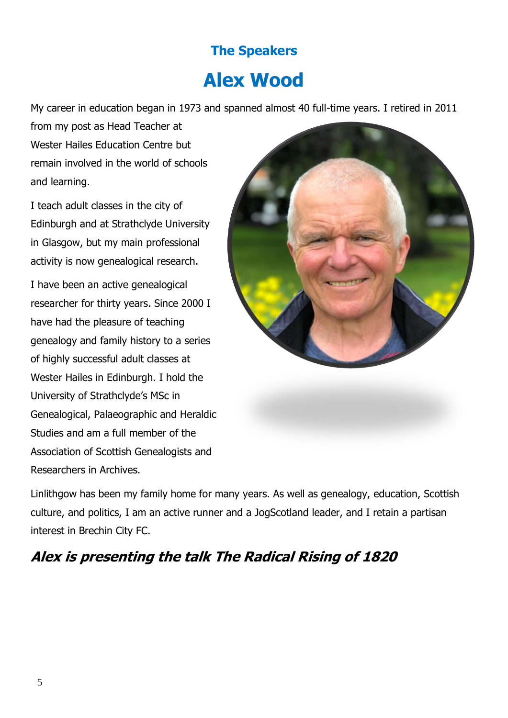## **The Speakers Alex Wood**

My career in education began in 1973 and spanned almost 40 full-time years. I retired in 2011

from my post as Head Teacher at Wester Hailes Education Centre but remain involved in the world of schools and learning.

I teach adult classes in the city of Edinburgh and at Strathclyde University in Glasgow, but my main professional activity is now genealogical research.

I have been an active genealogical researcher for thirty years. Since 2000 I have had the pleasure of teaching genealogy and family history to a series of highly successful adult classes at Wester Hailes in Edinburgh. I hold the University of Strathclyde's MSc in Genealogical, Palaeographic and Heraldic Studies and am a full member of the Association of Scottish Genealogists and Researchers in Archives.



Linlithgow has been my family home for many years. As well as genealogy, education, Scottish culture, and politics, I am an active runner and a JogScotland leader, and I retain a partisan interest in Brechin City FC.

### **Alex is presenting the talk The Radical Rising of 1820**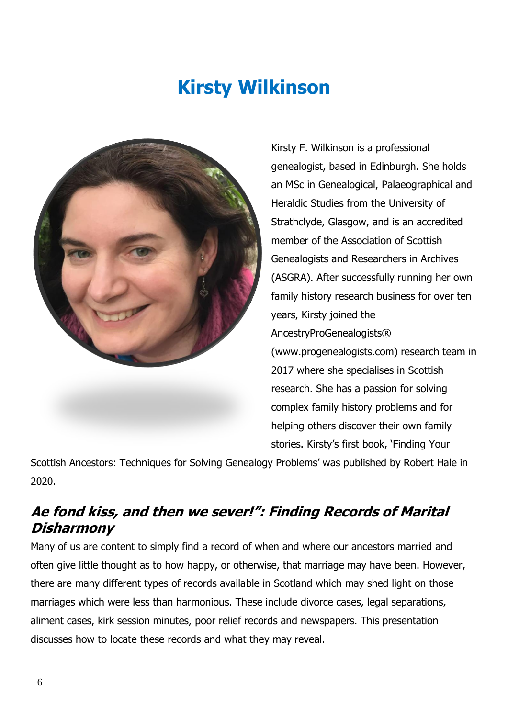## **Kirsty Wilkinson**



Kirsty F. Wilkinson is a professional genealogist, based in Edinburgh. She holds an MSc in Genealogical, Palaeographical and Heraldic Studies from the University of Strathclyde, Glasgow, and is an accredited member of the Association of Scottish Genealogists and Researchers in Archives (ASGRA). After successfully running her own family history research business for over ten years, Kirsty joined the AncestryProGenealogists® (www.progenealogists.com) research team in 2017 where she specialises in Scottish research. She has a passion for solving complex family history problems and for helping others discover their own family stories. Kirsty's first book, 'Finding Your

Scottish Ancestors: Techniques for Solving Genealogy Problems' was published by Robert Hale in 2020.

### **Ae fond kiss, and then we sever!": Finding Records of Marital Disharmony**

Many of us are content to simply find a record of when and where our ancestors married and often give little thought as to how happy, or otherwise, that marriage may have been. However, there are many different types of records available in Scotland which may shed light on those marriages which were less than harmonious. These include divorce cases, legal separations, aliment cases, kirk session minutes, poor relief records and newspapers. This presentation discusses how to locate these records and what they may reveal.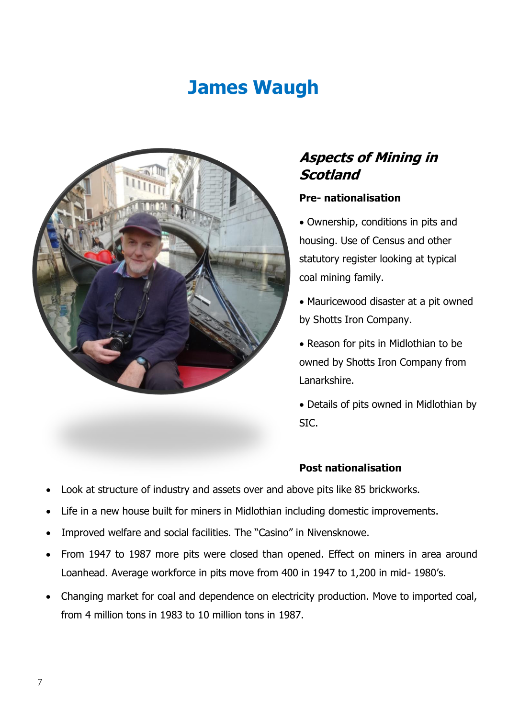## **James Waugh**



### **Aspects of Mining in Scotland**

#### **Pre- nationalisation**

• Ownership, conditions in pits and housing. Use of Census and other statutory register looking at typical coal mining family.

- Mauricewood disaster at a pit owned by Shotts Iron Company.
- Reason for pits in Midlothian to be owned by Shotts Iron Company from Lanarkshire.
- Details of pits owned in Midlothian by SIC.

#### **Post nationalisation**

- Look at structure of industry and assets over and above pits like 85 brickworks.
- Life in a new house built for miners in Midlothian including domestic improvements.
- Improved welfare and social facilities. The "Casino" in Nivensknowe.
- From 1947 to 1987 more pits were closed than opened. Effect on miners in area around Loanhead. Average workforce in pits move from 400 in 1947 to 1,200 in mid- 1980's.
- Changing market for coal and dependence on electricity production. Move to imported coal, from 4 million tons in 1983 to 10 million tons in 1987.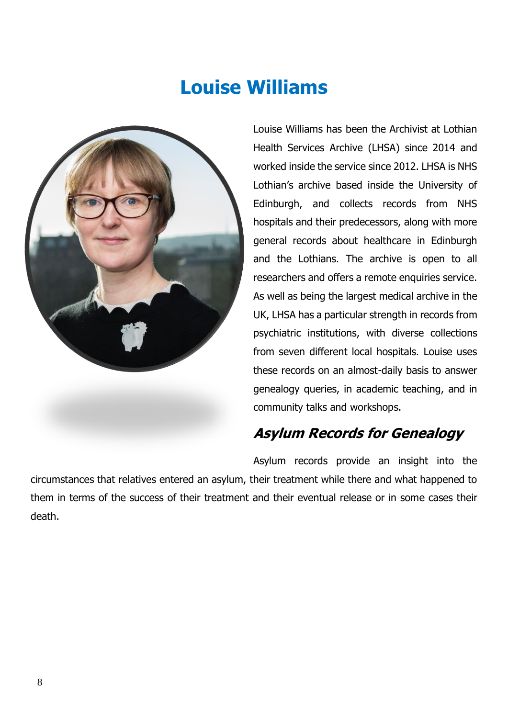## **Louise Williams**



Louise Williams has been the Archivist at Lothian Health Services Archive (LHSA) since 2014 and worked inside the service since 2012. LHSA is NHS Lothian's archive based inside the University of Edinburgh, and collects records from NHS hospitals and their predecessors, along with more general records about healthcare in Edinburgh and the Lothians. The archive is open to all researchers and offers a remote enquiries service. As well as being the largest medical archive in the UK, LHSA has a particular strength in records from psychiatric institutions, with diverse collections from seven different local hospitals. Louise uses these records on an almost-daily basis to answer genealogy queries, in academic teaching, and in community talks and workshops.

### **Asylum Records for Genealogy**

Asylum records provide an insight into the circumstances that relatives entered an asylum, their treatment while there and what happened to them in terms of the success of their treatment and their eventual release or in some cases their death.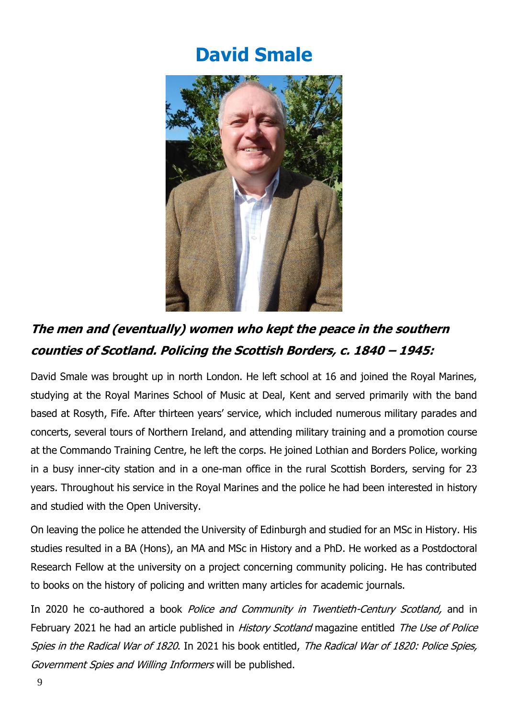## **David Smale**



### **The men and (eventually) women who kept the peace in the southern counties of Scotland. Policing the Scottish Borders, c. 1840 – 1945:**

David Smale was brought up in north London. He left school at 16 and joined the Royal Marines, studying at the Royal Marines School of Music at Deal, Kent and served primarily with the band based at Rosyth, Fife. After thirteen years' service, which included numerous military parades and concerts, several tours of Northern Ireland, and attending military training and a promotion course at the Commando Training Centre, he left the corps. He joined Lothian and Borders Police, working in a busy inner-city station and in a one-man office in the rural Scottish Borders, serving for 23 years. Throughout his service in the Royal Marines and the police he had been interested in history and studied with the Open University.

On leaving the police he attended the University of Edinburgh and studied for an MSc in History. His studies resulted in a BA (Hons), an MA and MSc in History and a PhD. He worked as a Postdoctoral Research Fellow at the university on a project concerning community policing. He has contributed to books on the history of policing and written many articles for academic journals.

In 2020 he co-authored a book *Police and Community in Twentieth-Century Scotland*, and in February 2021 he had an article published in *History Scotland* magazine entitled *The Use of Police* Spies in the Radical War of 1820. In 2021 his book entitled, The Radical War of 1820: Police Spies, Government Spies and Willing Informers will be published.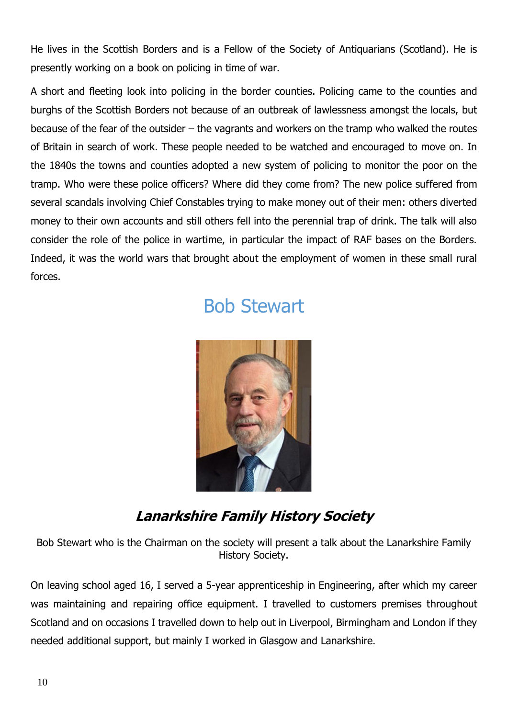He lives in the Scottish Borders and is a Fellow of the Society of Antiquarians (Scotland). He is presently working on a book on policing in time of war.

A short and fleeting look into policing in the border counties. Policing came to the counties and burghs of the Scottish Borders not because of an outbreak of lawlessness amongst the locals, but because of the fear of the outsider – the vagrants and workers on the tramp who walked the routes of Britain in search of work. These people needed to be watched and encouraged to move on. In the 1840s the towns and counties adopted a new system of policing to monitor the poor on the tramp. Who were these police officers? Where did they come from? The new police suffered from several scandals involving Chief Constables trying to make money out of their men: others diverted money to their own accounts and still others fell into the perennial trap of drink. The talk will also consider the role of the police in wartime, in particular the impact of RAF bases on the Borders. Indeed, it was the world wars that brought about the employment of women in these small rural forces.

## Bob Stewart



### **Lanarkshire Family History Society**

Bob Stewart who is the Chairman on the society will present a talk about the Lanarkshire Family History Society.

On leaving school aged 16, I served a 5-year apprenticeship in Engineering, after which my career was maintaining and repairing office equipment. I travelled to customers premises throughout Scotland and on occasions I travelled down to help out in Liverpool, Birmingham and London if they needed additional support, but mainly I worked in Glasgow and Lanarkshire.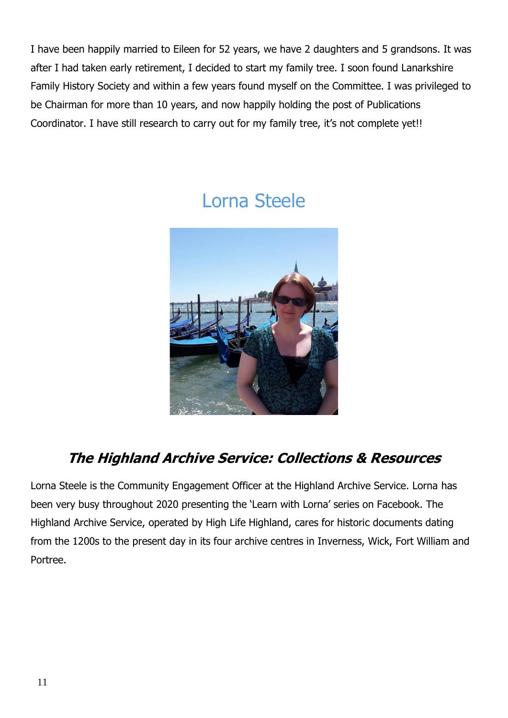I have been happily married to Eileen for 52 years, we have 2 daughters and 5 grandsons. It was after I had taken early retirement, I decided to start my family tree. I soon found Lanarkshire Family History Society and within a few years found myself on the Committee. I was privileged to be Chairman for more than 10 years, and now happily holding the post of Publications Coordinator. I have still research to carry out for my family tree, it's not complete yet!!



### Lorna Steele

### **The Highland Archive Service: Collections & Resources**

Lorna Steele is the Community Engagement Officer at the Highland Archive Service. Lorna has been very busy throughout 2020 presenting the 'Learn with Lorna' series on Facebook. The Highland Archive Service, operated by High Life Highland, cares for historic documents dating from the 1200s to the present day in its four archive centres in Inverness, Wick, Fort William and Portree.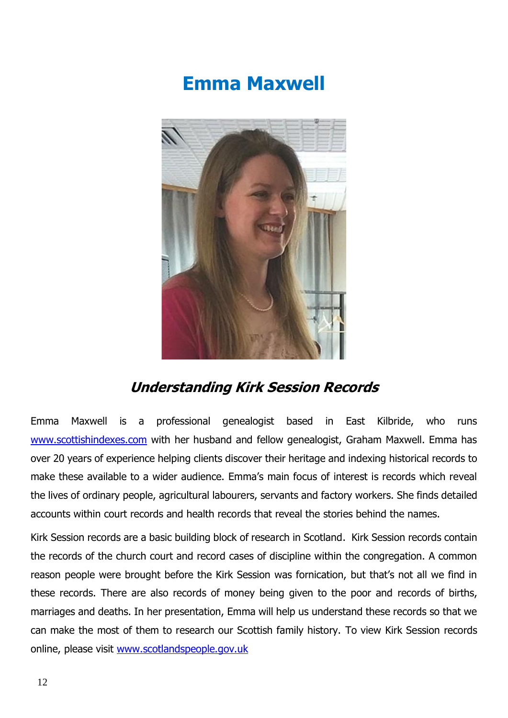## **Emma Maxwell**



### **Understanding Kirk Session Records**

Emma Maxwell is a professional genealogist based in East Kilbride, who runs [www.scottishindexes.com](http://www.scottishindexes.com/) with her husband and fellow genealogist, Graham Maxwell. Emma has over 20 years of experience helping clients discover their heritage and indexing historical records to make these available to a wider audience. Emma's main focus of interest is records which reveal the lives of ordinary people, agricultural labourers, servants and factory workers. She finds detailed accounts within court records and health records that reveal the stories behind the names.

Kirk Session records are a basic building block of research in Scotland. Kirk Session records contain the records of the church court and record cases of discipline within the congregation. A common reason people were brought before the Kirk Session was fornication, but that's not all we find in these records. There are also records of money being given to the poor and records of births, marriages and deaths. In her presentation, Emma will help us understand these records so that we can make the most of them to research our Scottish family history. To view Kirk Session records online, please visit [www.scotlandspeople.gov.uk](http://www.scotlandspeople.gov.uk/)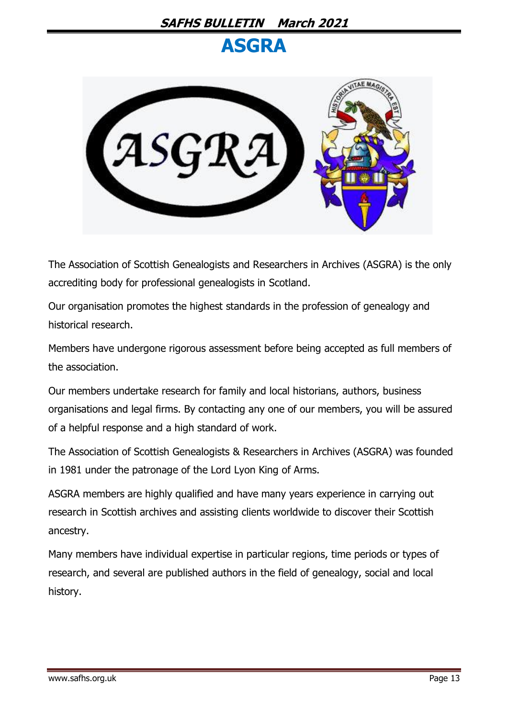#### **SAFHS BULLETIN March 2021**

### **ASGRA**



The Association of Scottish Genealogists and Researchers in Archives (ASGRA) is the only accrediting body for professional genealogists in Scotland.

Our organisation promotes the highest standards in the profession of genealogy and historical research.

Members have undergone rigorous assessment before being accepted as full members of the association.

Our members undertake research for family and local historians, authors, business organisations and legal firms. By contacting any one of our members, you will be assured of a helpful response and a high standard of work.

The Association of Scottish Genealogists & Researchers in Archives (ASGRA) was founded in 1981 under the patronage of the Lord Lyon King of Arms.

ASGRA members are highly qualified and have many years experience in carrying out research in Scottish archives and assisting clients worldwide to discover their Scottish ancestry.

Many members have individual expertise in particular regions, time periods or types of research, and several are published authors in the field of genealogy, social and local history.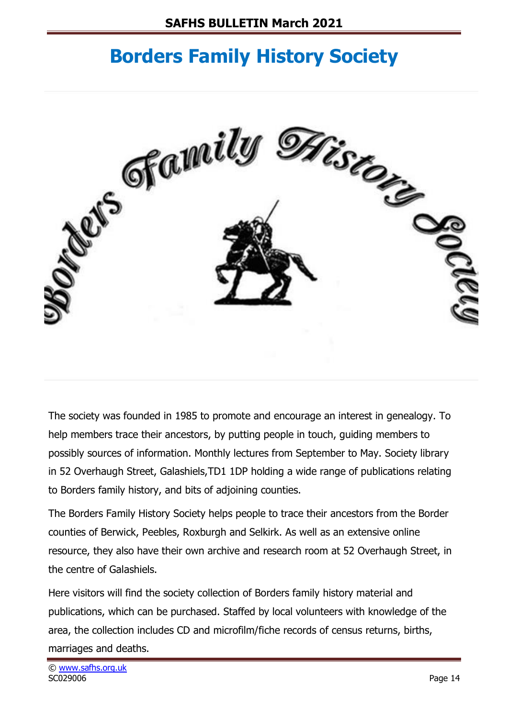## **Borders Family History Society**



The society was founded in 1985 to promote and encourage an interest in genealogy. To help members trace their ancestors, by putting people in touch, guiding members to possibly sources of information. Monthly lectures from September to May. Society library in 52 Overhaugh Street, Galashiels,TD1 1DP holding a wide range of publications relating to Borders family history, and bits of adjoining counties.

The Borders Family History Society helps people to trace their ancestors from the Border counties of Berwick, Peebles, Roxburgh and Selkirk. As well as an extensive online resource, they also have their own archive and research room at 52 Overhaugh Street, in the centre of Galashiels.

Here visitors will find the society collection of Borders family history material and publications, which can be purchased. Staffed by local volunteers with knowledge of the area, the collection includes CD and microfilm/fiche records of census returns, births, marriages and deaths.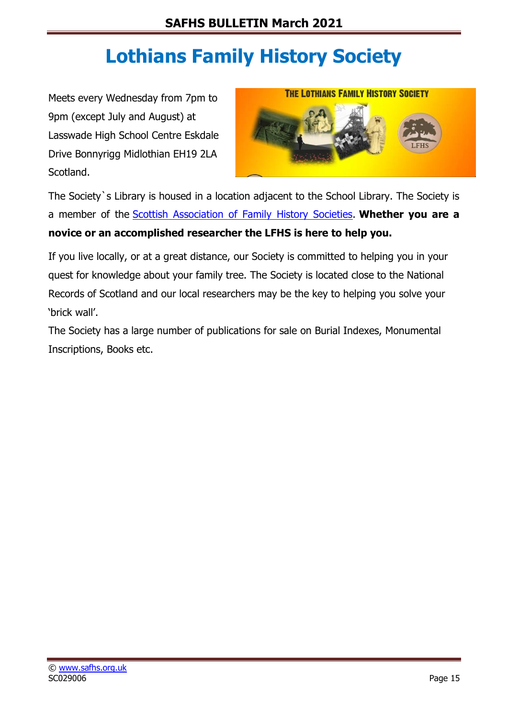## **Lothians Family History Society**

Meets every Wednesday from 7pm to 9pm (except July and August) at Lasswade High School Centre Eskdale Drive Bonnyrigg Midlothian EH19 2LA Scotland.



The Society`s Library is housed in a location adjacent to the School Library. The Society is a member of the [Scottish Association of Family History Societies.](http://www.safhs.org.uk/) **Whether you are a novice or an accomplished researcher the LFHS is here to help you.**

If you live locally, or at a great distance, our Society is committed to helping you in your quest for knowledge about your family tree. The Society is located close to the National Records of Scotland and our local researchers may be the key to helping you solve your 'brick wall'.

The Society has a large number of publications for sale on Burial Indexes, Monumental Inscriptions, Books etc.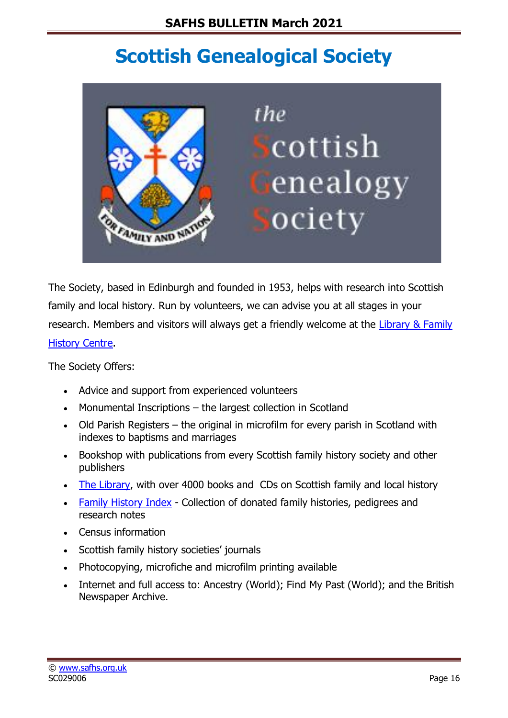## **Scottish Genealogical Society**



The Society, based in Edinburgh and founded in 1953, helps with research into Scottish family and local history. Run by volunteers, we can advise you at all stages in your research. Members and visitors will always get a friendly welcome at the [Library & Family](https://www.scotsgenealogy.com/Library.aspx)  [History Centre.](https://www.scotsgenealogy.com/Library.aspx)

The Society Offers:

- Advice and support from experienced volunteers
- Monumental Inscriptions the largest collection in Scotland
- Old Parish Registers the original in microfilm for every parish in Scotland with indexes to baptisms and marriages
- Bookshop with publications from every Scottish family history society and other publishers
- [The Library,](https://www.scotsgenealogy.com/Library.aspx) with over 4000 books and CDs on Scottish family and local history
- Family [History Index](https://www.scotsgenealogy.com/FamilyHistories.aspx) Collection of donated family histories, pedigrees and research notes
- Census information
- Scottish family history societies' journals
- Photocopying, microfiche and microfilm printing available
- Internet and full access to: Ancestry (World); Find My Past (World); and the British Newspaper Archive.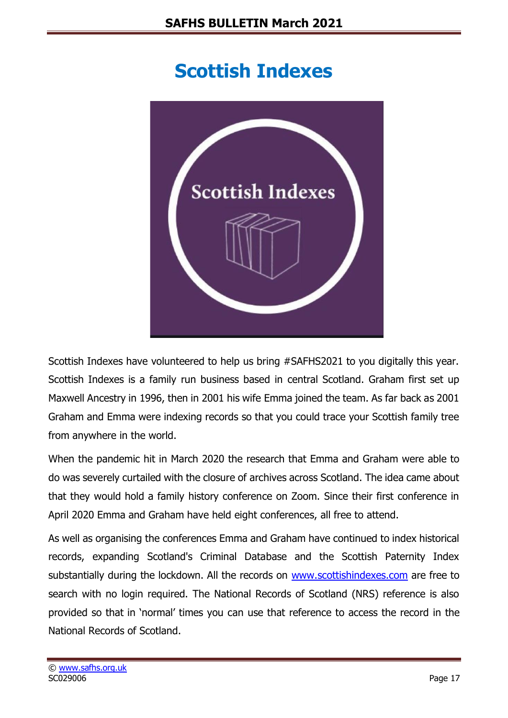## **Scottish Indexes**



Scottish Indexes have volunteered to help us bring #SAFHS2021 to you digitally this year. Scottish Indexes is a family run business based in central Scotland. Graham first set up Maxwell Ancestry in 1996, then in 2001 his wife Emma joined the team. As far back as 2001 Graham and Emma were indexing records so that you could trace your Scottish family tree from anywhere in the world.

When the pandemic hit in March 2020 the research that Emma and Graham were able to do was severely curtailed with the closure of archives across Scotland. The idea came about that they would hold a family history conference on Zoom. Since their first conference in April 2020 Emma and Graham have held eight conferences, all free to attend.

As well as organising the conferences Emma and Graham have continued to index historical records, expanding Scotland's Criminal Database and the Scottish Paternity Index substantially during the lockdown. All the records on [www.scottishindexes.com](http://www.scottishindexes.com/) are free to search with no login required. The National Records of Scotland (NRS) reference is also provided so that in 'normal' times you can use that reference to access the record in the National Records of Scotland.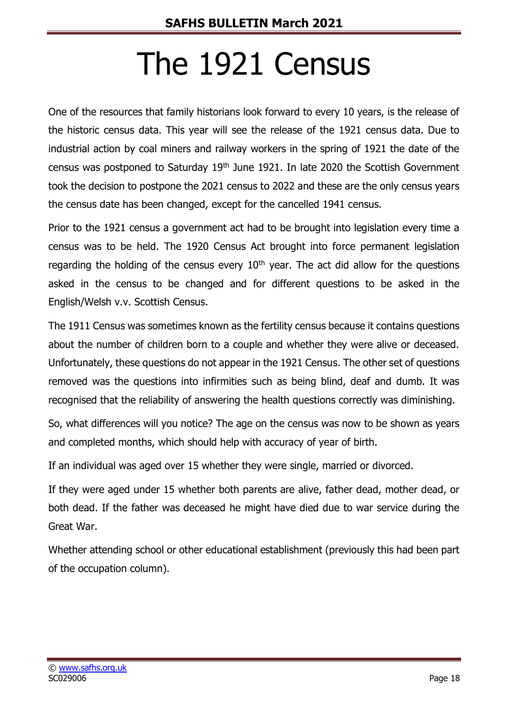# The 1921 Census

One of the resources that family historians look forward to every 10 years, is the release of the historic census data. This year will see the release of the 1921 census data. Due to industrial action by coal miners and railway workers in the spring of 1921 the date of the census was postponed to Saturday 19th June 1921. In late 2020 the Scottish Government took the decision to postpone the 2021 census to 2022 and these are the only census years the census date has been changed, except for the cancelled 1941 census.

Prior to the 1921 census a government act had to be brought into legislation every time a census was to be held. The 1920 Census Act brought into force permanent legislation regarding the holding of the census every  $10<sup>th</sup>$  year. The act did allow for the questions asked in the census to be changed and for different questions to be asked in the English/Welsh v.v. Scottish Census.

The 1911 Census was sometimes known as the fertility census because it contains questions about the number of children born to a couple and whether they were alive or deceased. Unfortunately, these questions do not appear in the 1921 Census. The other set of questions removed was the questions into infirmities such as being blind, deaf and dumb. It was recognised that the reliability of answering the health questions correctly was diminishing.

So, what differences will you notice? The age on the census was now to be shown as years and completed months, which should help with accuracy of year of birth.

If an individual was aged over 15 whether they were single, married or divorced.

If they were aged under 15 whether both parents are alive, father dead, mother dead, or both dead. If the father was deceased he might have died due to war service during the Great War.

Whether attending school or other educational establishment (previously this had been part of the occupation column).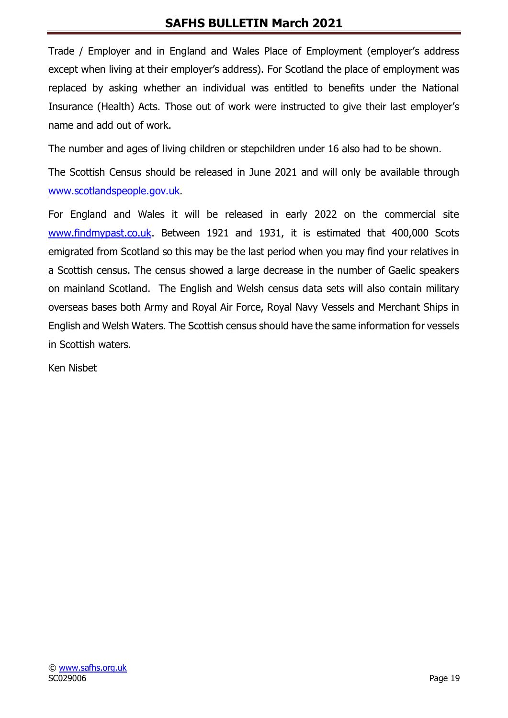#### **SAFHS BULLETIN March 2021**

Trade / Employer and in England and Wales Place of Employment (employer's address except when living at their employer's address). For Scotland the place of employment was replaced by asking whether an individual was entitled to benefits under the National Insurance (Health) Acts. Those out of work were instructed to give their last employer's name and add out of work.

The number and ages of living children or stepchildren under 16 also had to be shown.

The Scottish Census should be released in June 2021 and will only be available through [www.scotlandspeople.gov.uk.](http://www.scotlandspeople.gov.uk/)

For England and Wales it will be released in early 2022 on the commercial site [www.findmypast.co.uk.](http://www.findmypast.co.uk/) Between 1921 and 1931, it is estimated that 400,000 Scots emigrated from Scotland so this may be the last period when you may find your relatives in a Scottish census. The census showed a large decrease in the number of Gaelic speakers on mainland Scotland. The English and Welsh census data sets will also contain military overseas bases both Army and Royal Air Force, Royal Navy Vessels and Merchant Ships in English and Welsh Waters. The Scottish census should have the same information for vessels in Scottish waters.

Ken Nisbet